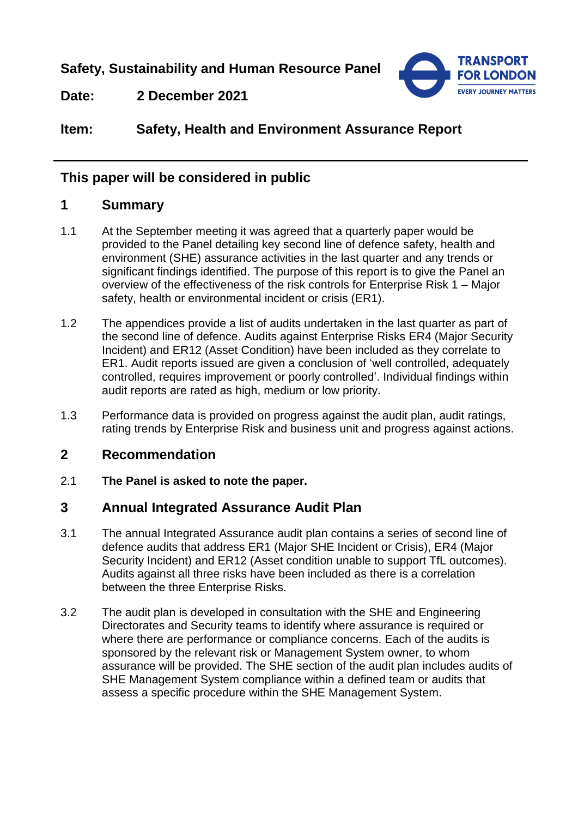**Safety, Sustainability and Human Resource Panel**



**Date: 2 December 2021**

# **Item: Safety, Health and Environment Assurance Report**

## **This paper will be considered in public**

## **1 Summary**

- 1.1 At the September meeting it was agreed that a quarterly paper would be provided to the Panel detailing key second line of defence safety, health and environment (SHE) assurance activities in the last quarter and any trends or significant findings identified. The purpose of this report is to give the Panel an overview of the effectiveness of the risk controls for Enterprise Risk 1 – Major safety, health or environmental incident or crisis (ER1).
- 1.2 The appendices provide a list of audits undertaken in the last quarter as part of the second line of defence. Audits against Enterprise Risks ER4 (Major Security Incident) and ER12 (Asset Condition) have been included as they correlate to ER1. Audit reports issued are given a conclusion of 'well controlled, adequately controlled, requires improvement or poorly controlled'. Individual findings within audit reports are rated as high, medium or low priority.
- 1.3 Performance data is provided on progress against the audit plan, audit ratings, rating trends by Enterprise Risk and business unit and progress against actions.

## **2 Recommendation**

2.1 **The Panel is asked to note the paper.**

## **3 Annual Integrated Assurance Audit Plan**

- 3.1 The annual Integrated Assurance audit plan contains a series of second line of defence audits that address ER1 (Major SHE Incident or Crisis), ER4 (Major Security Incident) and ER12 (Asset condition unable to support TfL outcomes). Audits against all three risks have been included as there is a correlation between the three Enterprise Risks.
- 3.2 The audit plan is developed in consultation with the SHE and Engineering Directorates and Security teams to identify where assurance is required or where there are performance or compliance concerns. Each of the audits is sponsored by the relevant risk or Management System owner, to whom assurance will be provided. The SHE section of the audit plan includes audits of SHE Management System compliance within a defined team or audits that assess a specific procedure within the SHE Management System.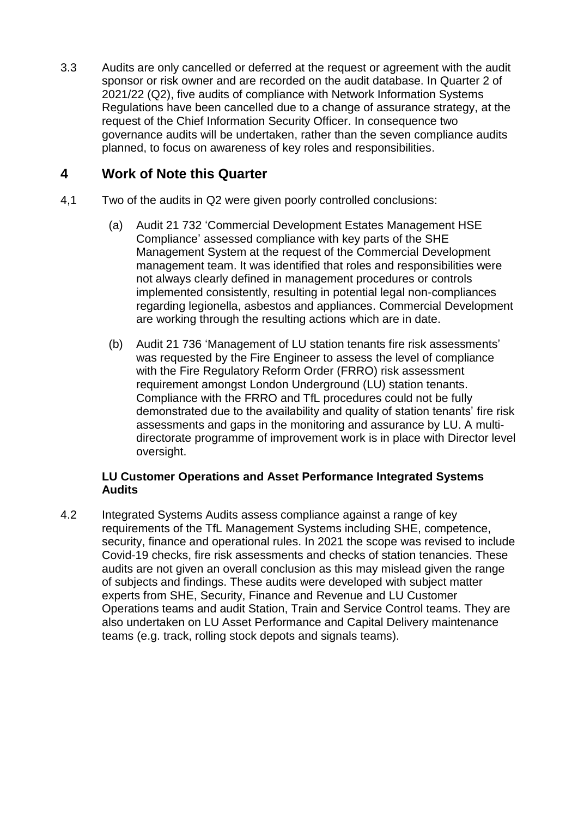3.3 Audits are only cancelled or deferred at the request or agreement with the audit sponsor or risk owner and are recorded on the audit database. In Quarter 2 of 2021/22 (Q2), five audits of compliance with Network Information Systems Regulations have been cancelled due to a change of assurance strategy, at the request of the Chief Information Security Officer. In consequence two governance audits will be undertaken, rather than the seven compliance audits planned, to focus on awareness of key roles and responsibilities.

## **4 Work of Note this Quarter**

- 4,1 Two of the audits in Q2 were given poorly controlled conclusions:
	- (a) Audit 21 732 'Commercial Development Estates Management HSE Compliance' assessed compliance with key parts of the SHE Management System at the request of the Commercial Development management team. It was identified that roles and responsibilities were not always clearly defined in management procedures or controls implemented consistently, resulting in potential legal non-compliances regarding legionella, asbestos and appliances. Commercial Development are working through the resulting actions which are in date.
	- (b) Audit 21 736 'Management of LU station tenants fire risk assessments' was requested by the Fire Engineer to assess the level of compliance with the Fire Regulatory Reform Order (FRRO) risk assessment requirement amongst London Underground (LU) station tenants. Compliance with the FRRO and TfL procedures could not be fully demonstrated due to the availability and quality of station tenants' fire risk assessments and gaps in the monitoring and assurance by LU. A multidirectorate programme of improvement work is in place with Director level oversight.

#### **LU Customer Operations and Asset Performance Integrated Systems Audits**

4.2 Integrated Systems Audits assess compliance against a range of key requirements of the TfL Management Systems including SHE, competence, security, finance and operational rules. In 2021 the scope was revised to include Covid-19 checks, fire risk assessments and checks of station tenancies. These audits are not given an overall conclusion as this may mislead given the range of subjects and findings. These audits were developed with subject matter experts from SHE, Security, Finance and Revenue and LU Customer Operations teams and audit Station, Train and Service Control teams. They are also undertaken on LU Asset Performance and Capital Delivery maintenance teams (e.g. track, rolling stock depots and signals teams).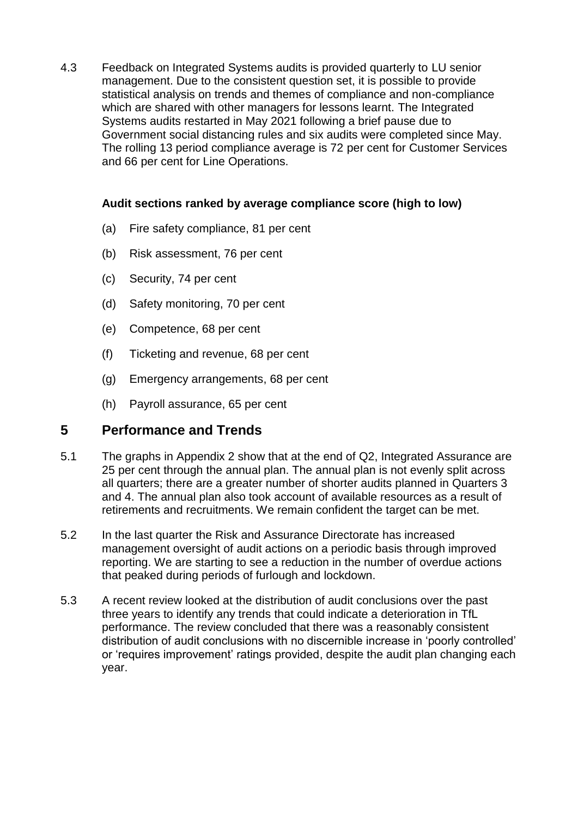4.3 Feedback on Integrated Systems audits is provided quarterly to LU senior management. Due to the consistent question set, it is possible to provide statistical analysis on trends and themes of compliance and non-compliance which are shared with other managers for lessons learnt. The Integrated Systems audits restarted in May 2021 following a brief pause due to Government social distancing rules and six audits were completed since May. The rolling 13 period compliance average is 72 per cent for Customer Services and 66 per cent for Line Operations.

#### **Audit sections ranked by average compliance score (high to low)**

- (a) Fire safety compliance, 81 per cent
- (b) Risk assessment, 76 per cent
- (c) Security, 74 per cent
- (d) Safety monitoring, 70 per cent
- (e) Competence, 68 per cent
- (f) Ticketing and revenue, 68 per cent
- (g) Emergency arrangements, 68 per cent
- (h) Payroll assurance, 65 per cent

## **5 Performance and Trends**

- 5.1 The graphs in Appendix 2 show that at the end of Q2, Integrated Assurance are 25 per cent through the annual plan. The annual plan is not evenly split across all quarters; there are a greater number of shorter audits planned in Quarters 3 and 4. The annual plan also took account of available resources as a result of retirements and recruitments. We remain confident the target can be met.
- 5.2 In the last quarter the Risk and Assurance Directorate has increased management oversight of audit actions on a periodic basis through improved reporting. We are starting to see a reduction in the number of overdue actions that peaked during periods of furlough and lockdown.
- 5.3 A recent review looked at the distribution of audit conclusions over the past three years to identify any trends that could indicate a deterioration in TfL performance. The review concluded that there was a reasonably consistent distribution of audit conclusions with no discernible increase in 'poorly controlled' or 'requires improvement' ratings provided, despite the audit plan changing each year.